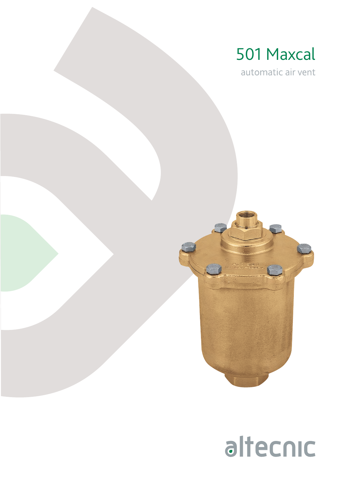

automatic air vent